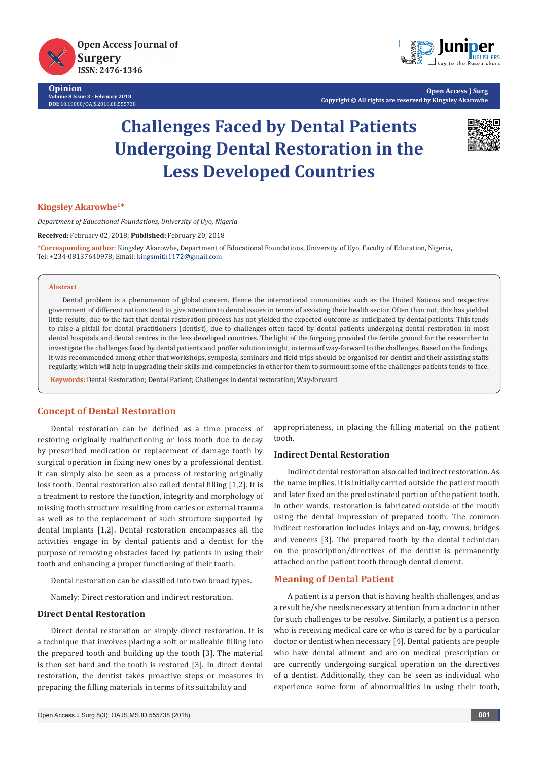

**Opinion Volume 8 Issue 3 - February 2018 DOI:** [10.19080/OAJS.2018.08.555738](http://dx.doi.org/10.19080/OAJS.2018.08.555738)



**Open Access J Surg Copyright © All rights are reserved by Kingsley Akarowhe**

# **Challenges Faced by Dental Patients Undergoing Dental Restoration in the Less Developed Countries**



#### **Kingsley Akarowhe1\***

*Department of Educational Foundations, University of Uyo, Nigeria* 

**Received:** February 02, 2018; **Published:** February 20, 2018

**\*Corresponding author**: Kingsley Akarowhe, Department of Educational Foundations, University of Uyo, Faculty of Education, Nigeria, Tel: +234-08137640978; Email: kingsmith1172@gmail.com

#### **Abstract**

Dental problem is a phenomenon of global concern. Hence the international communities such as the United Nations and respective government of different nations tend to give attention to dental issues in terms of assisting their health sector. Often than not, this has yielded little results, due to the fact that dental restoration process has not yielded the expected outcome as anticipated by dental patients. This tends to raise a pitfall for dental practitioners (dentist), due to challenges often faced by dental patients undergoing dental restoration in most dental hospitals and dental centres in the less developed countries. The light of the forgoing provided the fertile ground for the researcher to investigate the challenges faced by dental patients and proffer solution insight, in terms of way-forward to the challenges. Based on the findings, it was recommended among other that workshops, symposia, seminars and field trips should be organised for dentist and their assisting staffs regularly, which will help in upgrading their skills and competencies in other for them to surmount some of the challenges patients tends to face.

**Keywords:** Dental Restoration; Dental Patient; Challenges in dental restoration; Way-forward

#### **Concept of Dental Restoration**

Dental restoration can be defined as a time process of restoring originally malfunctioning or loss tooth due to decay by prescribed medication or replacement of damage tooth by surgical operation in fixing new ones by a professional dentist. It can simply also be seen as a process of restoring originally loss tooth. Dental restoration also called dental filling [1,2]. It is a treatment to restore the function, integrity and morphology of missing tooth structure resulting from caries or external trauma as well as to the replacement of such structure supported by dental implants [1,2]. Dental restoration encompasses all the activities engage in by dental patients and a dentist for the purpose of removing obstacles faced by patients in using their tooth and enhancing a proper functioning of their tooth.

Dental restoration can be classified into two broad types.

Namely: Direct restoration and indirect restoration.

#### **Direct Dental Restoration**

Direct dental restoration or simply direct restoration. It is a technique that involves placing a soft or malleable filling into the prepared tooth and building up the tooth [3]. The material is then set hard and the tooth is restored [3]. In direct dental restoration, the dentist takes proactive steps or measures in preparing the filling materials in terms of its suitability and

appropriateness, in placing the filling material on the patient tooth.

#### **Indirect Dental Restoration**

Indirect dental restoration also called indirect restoration. As the name implies, it is initially carried outside the patient mouth and later fixed on the predestinated portion of the patient tooth. In other words, restoration is fabricated outside of the mouth using the dental impression of prepared tooth. The common indirect restoration includes inlays and on-lay, crowns, bridges and veneers [3]. The prepared tooth by the dental technician on the prescription/directives of the dentist is permanently attached on the patient tooth through dental clement.

#### **Meaning of Dental Patient**

A patient is a person that is having health challenges, and as a result he/she needs necessary attention from a doctor in other for such challenges to be resolve. Similarly, a patient is a person who is receiving medical care or who is cared for by a particular doctor or dentist when necessary [4]. Dental patients are people who have dental ailment and are on medical prescription or are currently undergoing surgical operation on the directives of a dentist. Additionally, they can be seen as individual who experience some form of abnormalities in using their tooth,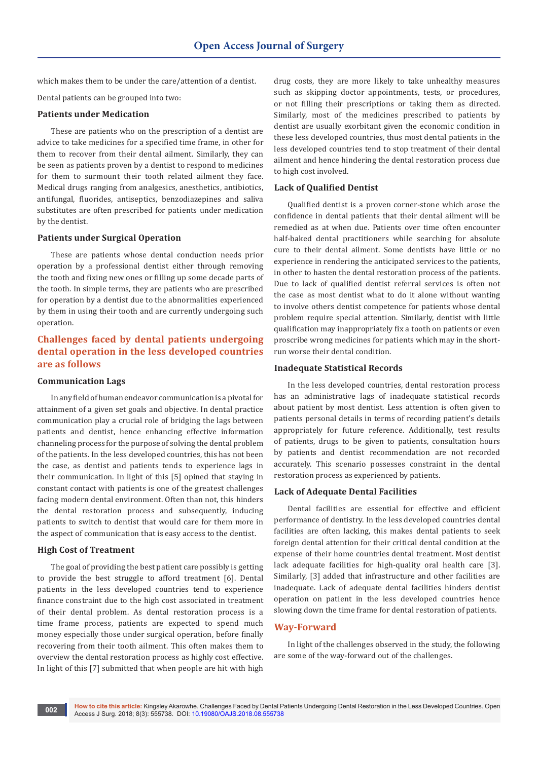which makes them to be under the care/attention of a dentist.

Dental patients can be grouped into two:

### **Patients under Medication**

These are patients who on the prescription of a dentist are advice to take medicines for a specified time frame, in other for them to recover from their dental ailment. Similarly, they can be seen as patients proven by a dentist to respond to medicines for them to surmount their tooth related ailment they face. Medical drugs ranging from analgesics, anesthetics, antibiotics, antifungal, fluorides, antiseptics, benzodiazepines and saliva substitutes are often prescribed for patients under medication by the dentist.

#### **Patients under Surgical Operation**

These are patients whose dental conduction needs prior operation by a professional dentist either through removing the tooth and fixing new ones or filling up some decade parts of the tooth. In simple terms, they are patients who are prescribed for operation by a dentist due to the abnormalities experienced by them in using their tooth and are currently undergoing such operation.

# **Challenges faced by dental patients undergoing dental operation in the less developed countries are as follows**

## **Communication Lags**

In any field of human endeavor communication is a pivotal for attainment of a given set goals and objective. In dental practice communication play a crucial role of bridging the lags between patients and dentist, hence enhancing effective information channeling process for the purpose of solving the dental problem of the patients. In the less developed countries, this has not been the case, as dentist and patients tends to experience lags in their communication. In light of this [5] opined that staying in constant contact with patients is one of the greatest challenges facing modern dental environment. Often than not, this hinders the dental restoration process and subsequently, inducing patients to switch to dentist that would care for them more in the aspect of communication that is easy access to the dentist.

#### **High Cost of Treatment**

The goal of providing the best patient care possibly is getting to provide the best struggle to afford treatment [6]. Dental patients in the less developed countries tend to experience finance constraint due to the high cost associated in treatment of their dental problem. As dental restoration process is a time frame process, patients are expected to spend much money especially those under surgical operation, before finally recovering from their tooth ailment. This often makes them to overview the dental restoration process as highly cost effective. In light of this [7] submitted that when people are hit with high

drug costs, they are more likely to take unhealthy measures such as skipping doctor appointments, tests, or procedures, or not filling their prescriptions or taking them as directed. Similarly, most of the medicines prescribed to patients by dentist are usually exorbitant given the economic condition in these less developed countries, thus most dental patients in the less developed countries tend to stop treatment of their dental ailment and hence hindering the dental restoration process due to high cost involved.

#### **Lack of Qualified Dentist**

Qualified dentist is a proven corner-stone which arose the confidence in dental patients that their dental ailment will be remedied as at when due. Patients over time often encounter half-baked dental practitioners while searching for absolute cure to their dental ailment. Some dentists have little or no experience in rendering the anticipated services to the patients, in other to hasten the dental restoration process of the patients. Due to lack of qualified dentist referral services is often not the case as most dentist what to do it alone without wanting to involve others dentist competence for patients whose dental problem require special attention. Similarly, dentist with little qualification may inappropriately fix a tooth on patients or even proscribe wrong medicines for patients which may in the shortrun worse their dental condition.

#### **Inadequate Statistical Records**

In the less developed countries, dental restoration process has an administrative lags of inadequate statistical records about patient by most dentist. Less attention is often given to patients personal details in terms of recording patient's details appropriately for future reference. Additionally, test results of patients, drugs to be given to patients, consultation hours by patients and dentist recommendation are not recorded accurately. This scenario possesses constraint in the dental restoration process as experienced by patients.

#### **Lack of Adequate Dental Facilities**

Dental facilities are essential for effective and efficient performance of dentistry. In the less developed countries dental facilities are often lacking, this makes dental patients to seek foreign dental attention for their critical dental condition at the expense of their home countries dental treatment. Most dentist lack adequate facilities for high-quality oral health care [3]. Similarly, [3] added that infrastructure and other facilities are inadequate. Lack of adequate dental facilities hinders dentist operation on patient in the less developed countries hence slowing down the time frame for dental restoration of patients.

### **Way-Forward**

In light of the challenges observed in the study, the following are some of the way-forward out of the challenges.